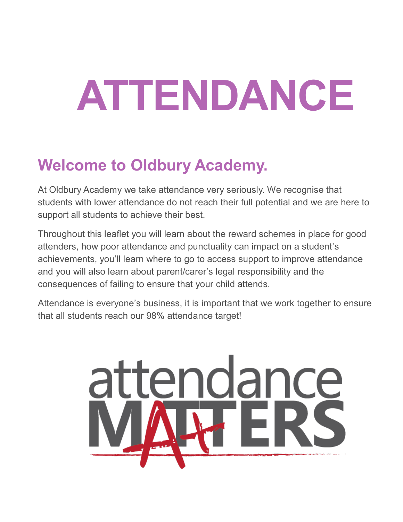# **ATTENDANCE**

# **Welcome to Oldbury Academy.**

At Oldbury Academy we take attendance very seriously. We recognise that students with lower attendance do not reach their full potential and we are here to support all students to achieve their best.

Throughout this leaflet you will learn about the reward schemes in place for good attenders, how poor attendance and punctuality can impact on a student's achievements, you'll learn where to go to access support to improve attendance and you will also learn about parent/carer's legal responsibility and the consequences of failing to ensure that your child attends.

Attendance is everyone's business, it is important that we work together to ensure that all students reach our 98% attendance target!

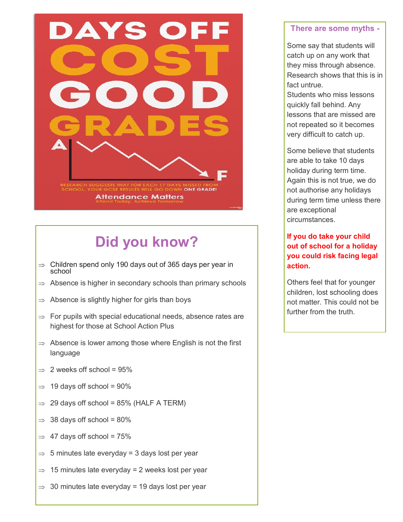

# **Did you know?**

- $\Rightarrow$  Children spend only 190 days out of 365 days per year in school
- $\Rightarrow$  Absence is higher in secondary schools than primary schools
- $\Rightarrow$  Absence is slightly higher for girls than boys
- $\Rightarrow$  For pupils with special educational needs, absence rates are highest for those at School Action Plus
- $\Rightarrow$  Absence is lower among those where English is not the first language
- $\Rightarrow$  2 weeks off school = 95%
- $\Rightarrow$  19 days off school = 90%
- $\Rightarrow$  29 days off school = 85% (HALF A TERM)
- $\Rightarrow$  38 days off school = 80%
- $\Rightarrow$  47 days off school = 75%
- $\Rightarrow$  5 minutes late everyday = 3 days lost per year
- $\Rightarrow$  15 minutes late everyday = 2 weeks lost per year
- $\Rightarrow$  30 minutes late everyday = 19 days lost per year

#### **There are some myths -**

Some say that students will catch up on any work that they miss through absence. Research shows that this is in fact untrue.

Students who miss lessons quickly fall behind. Any lessons that are missed are not repeated so it becomes very difficult to catch up.

Some believe that students are able to take 10 days holiday during term time. Again this is not true, we do not authorise any holidays during term time unless there are exceptional circumstances.

#### **If you do take your child out of school for a holiday you could risk facing legal action.**

Others feel that for younger children, lost schooling does not matter. This could not be further from the truth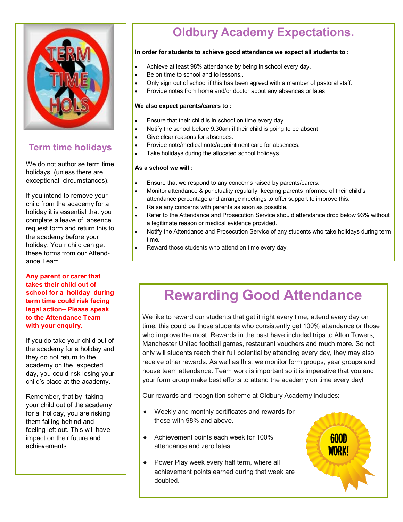

### **Term time holidays**

We do not authorise term time holidays (unless there are exceptional circumstances).

If you intend to remove your child from the academy for a holiday it is essential that you complete a leave of absence request form and return this to the academy before your holiday. You r child can get these forms from our Attendance Team.

**Any parent or carer that takes their child out of school for a holiday during term time could risk facing legal action– Please speak to the Attendance Team with your enquiry.**

If you do take your child out of the academy for a holiday and they do not return to the academy on the expected day, you could risk losing your child's place at the academy.

Remember, that by taking your child out of the academy for a holiday, you are risking them falling behind and feeling left out. This will have impact on their future and achievements.

## **Oldbury Academy Expectations.**

#### **In order for students to achieve good attendance we expect all students to :**

- Achieve at least 98% attendance by being in school every day.
- **Be on time to school and to lessons..**
- Only sign out of school if this has been agreed with a member of pastoral staff.
- Provide notes from home and/or doctor about any absences or lates.

#### **We also expect parents/carers to :**

- **Ensure that their child is in school on time every day.**
- Notify the school before 9.30am if their child is going to be absent.
	- Give clear reasons for absences.
	- Provide note/medical note/appointment card for absences.
	- Take holidays during the allocated school holidays.

#### **As a school we will :**

- **Ensure that we respond to any concerns raised by parents/carers.**
- Monitor attendance & punctuality regularly, keeping parents informed of their child's attendance percentage and arrange meetings to offer support to improve this.
- Raise any concerns with parents as soon as possible.
- Refer to the Attendance and Prosecution Service should attendance drop below 93% without a legitimate reason or medical evidence provided.
- Notify the Attendance and Prosecution Service of any students who take holidays during term time.
- Reward those students who attend on time every day.

## **Rewarding Good Attendance**

We like to reward our students that get it right every time, attend every day on time, this could be those students who consistently get 100% attendance or those who improve the most. Rewards in the past have included trips to Alton Towers, Manchester United football games, restaurant vouchers and much more. So not only will students reach their full potential by attending every day, they may also receive other rewards. As well as this, we monitor form groups, year groups and house team attendance. Team work is important so it is imperative that you and your form group make best efforts to attend the academy on time every day!

Our rewards and recognition scheme at Oldbury Academy includes:

- Weekly and monthly certificates and rewards for those with 98% and above.
- ◆ Achievement points each week for 100% attendance and zero lates,.
- ◆ Power Play week every half term, where all achievement points earned during that week are doubled.